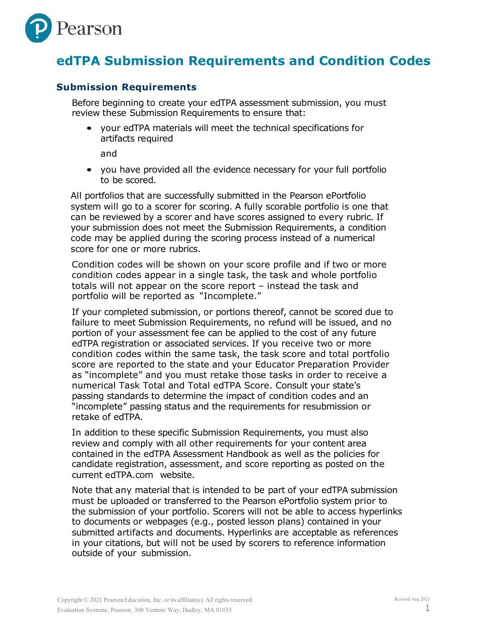

# **edTPA Submission Requirements and Condition Codes**

### **Submission Requirements**

Before beginning to create your edTPA assessment submission, you must review these Submission Requirements to ensure that:

• your edTPA materials will meet the technical specifications for artifacts required

and

• you have provided all the evidence necessary for your full portfolio to be scored.

All portfolios that are successfully submitted in the Pearson ePortfolio system will go to a scorer for scoring. A fully scorable portfolio is one that can be reviewed by a scorer and have scores assigned to every rubric. If your submission does not meet the Submission Requirements, a condition code may be applied during the scoring process instead of a numerical score for one or more rubrics.

Condition codes will be shown on your score profile and if two or more condition codes appear in a single task, the task and whole portfolio totals will not appear on the score report – instead the task and portfolio will be reported as "Incomplete."

If your completed submission, or portions thereof, cannot be scored due to failure to meet Submission Requirements, no refund will be issued, and no portion of your assessment fee can be applied to the cost of any future edTPA registration or associated services. If you receive two or more condition codes within the same task, the task score and total portfolio score are reported to the state and your Educator Preparation Provider as "incomplete" and you must retake those tasks in order to receive a numerical Task Total and Total edTPA Score. Consult your state's passing standards to determine the impact of condition codes and an "incomplete" passing status and the requirements for resubmission or retake of edTPA.

In addition to these specific Submission Requirements, you must also review and comply with all other requirements for your content area contained in the edTPA Assessment Handbook as well as the policies for candidate registration, assessment, and score reporting as posted on the current edTPA.com website.

Note that any material that is intended to be part of your edTPA submission must be uploaded or transferred to the Pearson ePortfolio system prior to the submission of your portfolio. Scorers will not be able to access hyperlinks to documents or webpages (e.g., posted lesson plans) contained in your submitted artifacts and documents. Hyperlinks are acceptable as references in your citations, but will not be used by scorers to reference information outside of your submission.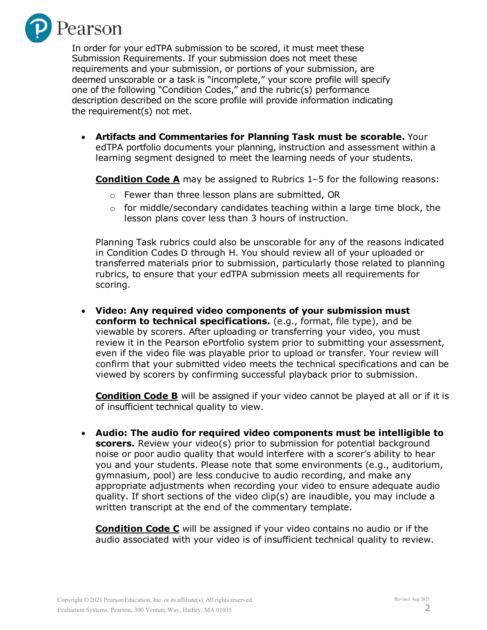

In order for your edTPA submission to be scored, it must meet these Submission Requirements. If your submission does not meet these requirements and your submission, or portions of your submission, are deemed unscorable or a task is "incomplete," your score profile will specify one of the following "Condition Codes," and the rubric(s) performance description described on the score profile will provide information indicating the requirement(s) not met.

• **Artifacts and Commentaries for Planning Task must be scorable.** Your edTPA portfolio documents your planning, instruction and assessment within a learning segment designed to meet the learning needs of your students.

**Condition Code A** may be assigned to Rubrics 1-5 for the following reasons:

- o Fewer than three lesson plans are submitted, OR
- $\circ$  for middle/secondary candidates teaching within a large time block, the lesson plans cover less than 3 hours of instruction.

Planning Task rubrics could also be unscorable for any of the reasons indicated in Condition Codes D through H. You should review all of your uploaded or transferred materials prior to submission, particularly those related to planning rubrics, to ensure that your edTPA submission meets all requirements for scoring.

• **Video: Any required video components of your submission must conform to technical specifications.** (e.g., format, file type), and be viewable by scorers. After uploading or transferring your video, you must review it in the Pearson ePortfolio system prior to submitting your assessment, even if the video file was playable prior to upload or transfer. Your review will confirm that your submitted video meets the technical specifications and can be viewed by scorers by confirming successful playback prior to submission.

**Condition Code B** will be assigned if your video cannot be played at all or if it is of insufficient technical quality to view.

• **Audio: The audio for required video components must be intelligible to scorers.** Review your video(s) prior to submission for potential background noise or poor audio quality that would interfere with a scorer's ability to hear you and your students. Please note that some environments (e.g., auditorium, gymnasium, pool) are less conducive to audio recording, and make any appropriate adjustments when recording your video to ensure adequate audio quality. If short sections of the video clip(s) are inaudible, you may include a written transcript at the end of the commentary template.

**Condition Code C** will be assigned if your video contains no audio or if the audio associated with your video is of insufficient technical quality to review.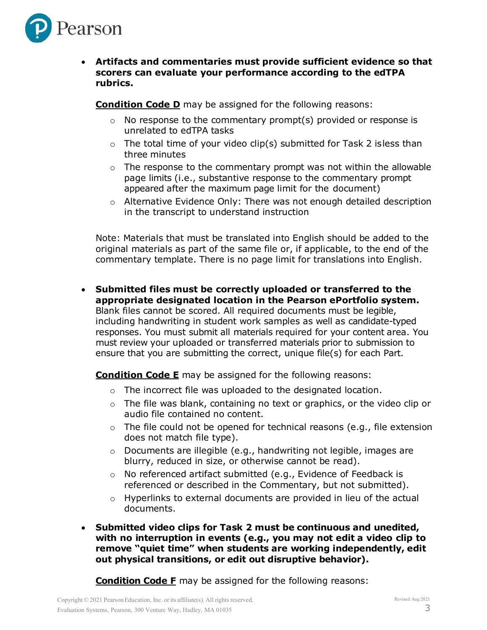

### • **Artifacts and commentaries must provide sufficient evidence so that scorers can evaluate your performance according to the edTPA rubrics.**

**Condition Code D** may be assigned for the following reasons:

- $\circ$  No response to the commentary prompt(s) provided or response is unrelated to edTPA tasks
- $\circ$  The total time of your video clip(s) submitted for Task 2 isless than three minutes
- $\circ$  The response to the commentary prompt was not within the allowable page limits (i.e., substantive response to the commentary prompt appeared after the maximum page limit for the document)
- o Alternative Evidence Only: There was not enough detailed description in the transcript to understand instruction

Note: Materials that must be translated into English should be added to the original materials as part of the same file or, if applicable, to the end of the commentary template. There is no page limit for translations into English.

• **Submitted files must be correctly uploaded or transferred to the appropriate designated location in the Pearson ePortfolio system.** Blank files cannot be scored. All required documents must be legible, including handwriting in student work samples as well as candidate-typed responses. You must submit all materials required for your content area. You must review your uploaded or transferred materials prior to submission to ensure that you are submitting the correct, unique file(s) for each Part.

**Condition Code E** may be assigned for the following reasons:

- $\circ$  The incorrect file was uploaded to the designated location.
- o The file was blank, containing no text or graphics, or the video clip or audio file contained no content.
- $\circ$  The file could not be opened for technical reasons (e.g., file extension does not match file type).
- o Documents are illegible (e.g., handwriting not legible, images are blurry, reduced in size, or otherwise cannot be read).
- o No referenced artifact submitted (e.g., Evidence of Feedback is referenced or described in the Commentary, but not submitted).
- $\circ$  Hyperlinks to external documents are provided in lieu of the actual documents.
- **Submitted video clips for Task 2 must be continuous and unedited, with no interruption in events (e.g., you may not edit a video clip to remove "quiet time" when students are working independently, edit out physical transitions, or edit out disruptive behavior).**

**Condition Code F** may be assigned for the following reasons: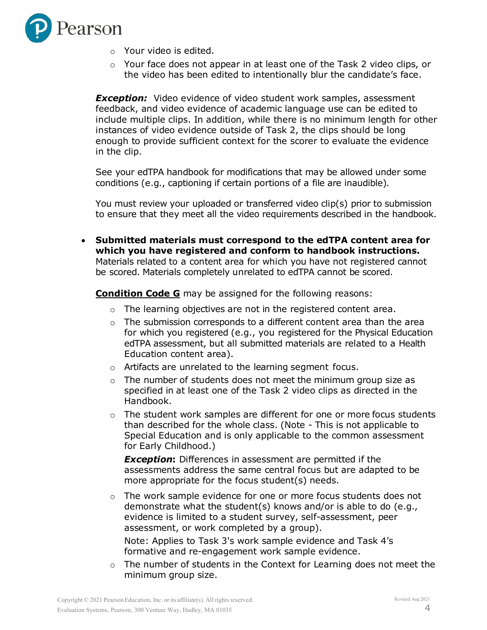

- o Your video is edited.
- $\circ$  Your face does not appear in at least one of the Task 2 video clips, or the video has been edited to intentionally blur the candidate's face.

*Exception:* Video evidence of video student work samples, assessment feedback, and video evidence of academic language use can be edited to include multiple clips. In addition, while there is no minimum length for other instances of video evidence outside of Task 2, the clips should be long enough to provide sufficient context for the scorer to evaluate the evidence in the clip.

See your edTPA handbook for modifications that may be allowed under some conditions (e.g., captioning if certain portions of a file are inaudible).

You must review your uploaded or transferred video clip(s) prior to submission to ensure that they meet all the video requirements described in the handbook.

• **Submitted materials must correspond to the edTPA content area for which you have registered and conform to handbook instructions.** Materials related to a content area for which you have not registered cannot be scored. Materials completely unrelated to edTPA cannot be scored.

**Condition Code G** may be assigned for the following reasons:

- $\circ$  The learning objectives are not in the registered content area.
- $\circ$  The submission corresponds to a different content area than the area for which you registered (e.g., you registered for the Physical Education edTPA assessment, but all submitted materials are related to a Health Education content area).
- o Artifacts are unrelated to the learning segment focus.
- $\circ$  The number of students does not meet the minimum group size as specified in at least one of the Task 2 video clips as directed in the Handbook.
- $\circ$  The student work samples are different for one or more focus students than described for the whole class. (Note - This is not applicable to Special Education and is only applicable to the common assessment for Early Childhood.)

**Exception:** Differences in assessment are permitted if the assessments address the same central focus but are adapted to be more appropriate for the focus student(s) needs.

o The work sample evidence for one or more focus students does not demonstrate what the student(s) knows and/or is able to do (e.g., evidence is limited to a student survey, self-assessment, peer assessment, or work completed by a group).

Note: Applies to Task 3's work sample evidence and Task 4's formative and re-engagement work sample evidence.

o The number of students in the Context for Learning does not meet the minimum group size.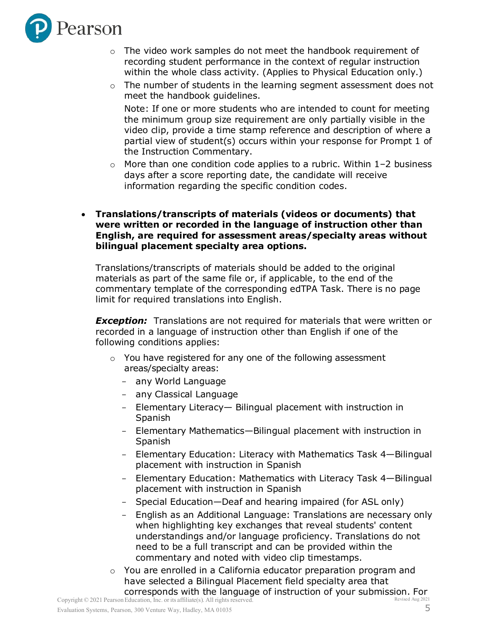

- $\circ$  The video work samples do not meet the handbook requirement of recording student performance in the context of regular instruction within the whole class activity. (Applies to Physical Education only.)
- o The number of students in the learning segment assessment does not meet the handbook guidelines.

Note: If one or more students who are intended to count for meeting the minimum group size requirement are only partially visible in the video clip, provide a time stamp reference and description of where a partial view of student(s) occurs within your response for Prompt 1 of the Instruction Commentary.

 $\circ$  More than one condition code applies to a rubric. Within 1–2 business days after a score reporting date, the candidate will receive information regarding the specific condition codes.

#### • **Translations/transcripts of materials (videos or documents) that were written or recorded in the language of instruction other than English, are required for assessment areas/specialty areas without bilingual placement specialty area options.**

Translations/transcripts of materials should be added to the original materials as part of the same file or, if applicable, to the end of the commentary template of the corresponding edTPA Task. There is no page limit for required translations into English.

*Exception:* Translations are not required for materials that were written or recorded in a language of instruction other than English if one of the following conditions applies:

- o You have registered for any one of the following assessment areas/specialty areas:
	- any World Language
	- any Classical Language
	- Elementary Literacy Bilingual placement with instruction in Spanish
	- Elementary Mathematics—Bilingual placement with instruction in Spanish
	- Elementary Education: Literacy with Mathematics Task 4–Bilingual placement with instruction in Spanish
	- Elementary Education: Mathematics with Literacy Task 4—Bilingual placement with instruction in Spanish
	- Special Education—Deaf and hearing impaired (for ASL only)
	- English as an Additional Language: Translations are necessary only when highlighting key exchanges that reveal students' content understandings and/or language proficiency. Translations do not need to be a full transcript and can be provided within the commentary and noted with video clip timestamps.
- Revised Aug 2021 o You are enrolled in a California educator preparation program and have selected a Bilingual Placement field specialty area that corresponds with the language of instruction of your submission. For